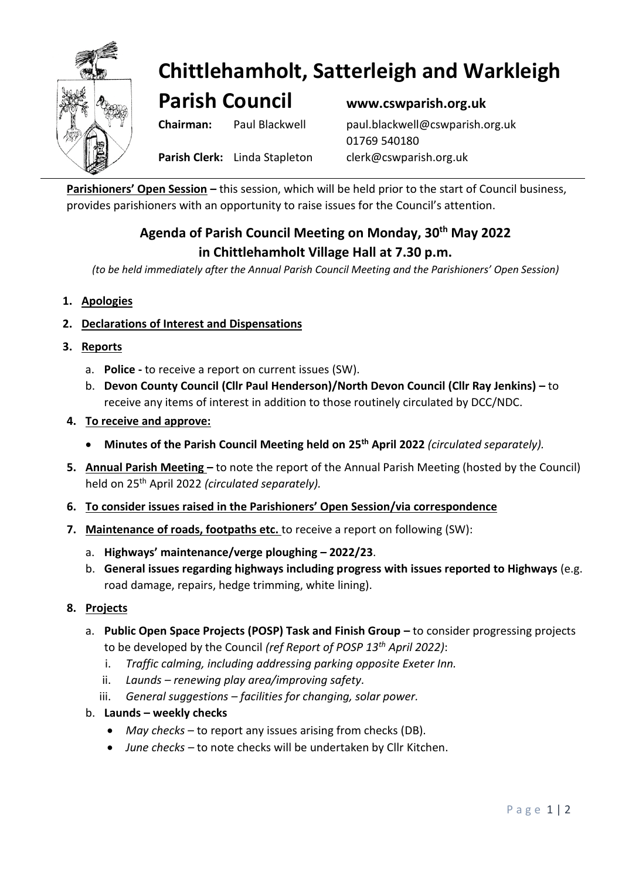

# **Chittlehamholt, Satterleigh and Warkleigh**

**Parish Council www.cswparish.org.uk**

**Chairman:** Paul Blackwell [paul.blackwell@cswparish.org.uk](mailto:paul.blackwell@cswparish.org.uk) 01769 540180 **Parish Clerk:** Linda Stapleton [clerk@cswparish.org.uk](mailto:clerk@cswparish.org.uk)

**Parishioners' Open Session –** this session, which will be held prior to the start of Council business, provides parishioners with an opportunity to raise issues for the Council's attention.

## **Agenda of Parish Council Meeting on Monday, 30th May 2022 in Chittlehamholt Village Hall at 7.30 p.m.**

*(to be held immediately after the Annual Parish Council Meeting and the Parishioners' Open Session)*

- **1. Apologies**
- **2. Declarations of Interest and Dispensations**
- **3. Reports**
	- a. **Police -** to receive a report on current issues (SW).
	- b. **Devon County Council (Cllr Paul Henderson)/North Devon Council (Cllr Ray Jenkins) –** to receive any items of interest in addition to those routinely circulated by DCC/NDC.
- **4. To receive and approve:**
	- **Minutes of the Parish Council Meeting held on 25 th April 2022** *(circulated separately).*
- **5. Annual Parish Meeting –** to note the report of the Annual Parish Meeting (hosted by the Council) held on 25th April 2022 *(circulated separately).*
- **6. To consider issues raised in the Parishioners' Open Session/via correspondence**
- **7. Maintenance of roads, footpaths etc.** to receive a report on following (SW):
	- a. **Highways' maintenance/verge ploughing** *–* **2022/23**.
	- b. **General issues regarding highways including progress with issues reported to Highways** (e.g. road damage, repairs, hedge trimming, white lining).
- **8. Projects**
	- a. **Public Open Space Projects (POSP) Task and Finish Group to consider progressing projects** to be developed by the Council *(ref Report of POSP 13th April 2022)*:
		- i. *Traffic calming, including addressing parking opposite Exeter Inn.*
		- ii. *Launds – renewing play area/improving safety.*
		- iii. *General suggestions – facilities for changing, solar power.*
	- b. **Launds – weekly checks**
		- *May checks* to report any issues arising from checks (DB).
		- *June checks –* to note checks will be undertaken by Cllr Kitchen.